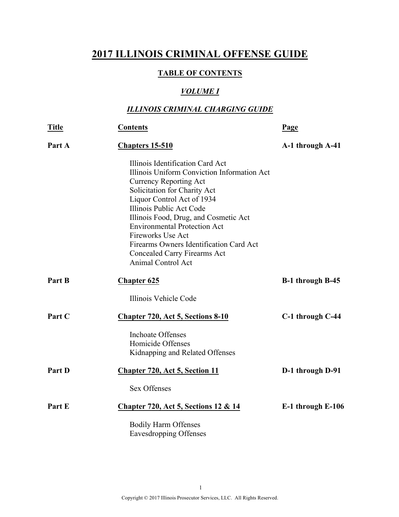## **2017 ILLINOIS CRIMINAL OFFENSE GUIDE**

#### **TABLE OF CONTENTS**

### *VOLUME I*

### *ILLINOIS CRIMINAL CHARGING GUIDE*

| <b>Title</b> | <b>Contents</b>                                                                                                                                                                                                                                                                                                                                                                                                         | Page              |
|--------------|-------------------------------------------------------------------------------------------------------------------------------------------------------------------------------------------------------------------------------------------------------------------------------------------------------------------------------------------------------------------------------------------------------------------------|-------------------|
| Part A       | Chapters 15-510                                                                                                                                                                                                                                                                                                                                                                                                         | A-1 through A-41  |
|              | Illinois Identification Card Act<br>Illinois Uniform Conviction Information Act<br><b>Currency Reporting Act</b><br>Solicitation for Charity Act<br>Liquor Control Act of 1934<br>Illinois Public Act Code<br>Illinois Food, Drug, and Cosmetic Act<br><b>Environmental Protection Act</b><br><b>Fireworks Use Act</b><br>Firearms Owners Identification Card Act<br>Concealed Carry Firearms Act<br>Animal Control Act |                   |
| Part B       | <b>Chapter 625</b>                                                                                                                                                                                                                                                                                                                                                                                                      | B-1 through B-45  |
|              | Illinois Vehicle Code                                                                                                                                                                                                                                                                                                                                                                                                   |                   |
| Part C       | <b>Chapter 720, Act 5, Sections 8-10</b>                                                                                                                                                                                                                                                                                                                                                                                | C-1 through C-44  |
|              | <b>Inchoate Offenses</b><br>Homicide Offenses<br>Kidnapping and Related Offenses                                                                                                                                                                                                                                                                                                                                        |                   |
| Part D       | <b>Chapter 720, Act 5, Section 11</b>                                                                                                                                                                                                                                                                                                                                                                                   | D-1 through D-91  |
|              | <b>Sex Offenses</b>                                                                                                                                                                                                                                                                                                                                                                                                     |                   |
| Part E       | <b>Chapter 720, Act 5, Sections 12 &amp; 14</b>                                                                                                                                                                                                                                                                                                                                                                         | E-1 through E-106 |
|              | <b>Bodily Harm Offenses</b><br><b>Eavesdropping Offenses</b>                                                                                                                                                                                                                                                                                                                                                            |                   |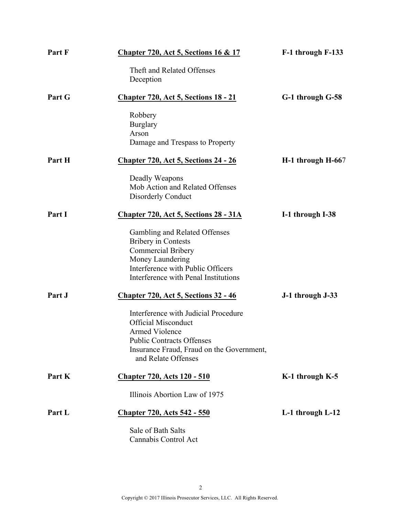| Part F | <b>Chapter 720, Act 5, Sections 16 &amp; 17</b>                                                                                                                                              | F-1 through F-133   |
|--------|----------------------------------------------------------------------------------------------------------------------------------------------------------------------------------------------|---------------------|
|        | Theft and Related Offenses<br>Deception                                                                                                                                                      |                     |
| Part G | <b>Chapter 720, Act 5, Sections 18 - 21</b>                                                                                                                                                  | G-1 through G-58    |
|        | Robbery<br><b>Burglary</b><br>Arson<br>Damage and Trespass to Property                                                                                                                       |                     |
| Part H | <u><b>Chapter 720, Act 5, Sections 24 - 26</b></u>                                                                                                                                           | H-1 through H-667   |
|        | Deadly Weapons<br>Mob Action and Related Offenses<br>Disorderly Conduct                                                                                                                      |                     |
| Part I | Chapter 720, Act 5, Sections 28 - 31A                                                                                                                                                        | I-1 through I-38    |
|        | Gambling and Related Offenses<br><b>Bribery</b> in Contests<br><b>Commercial Bribery</b><br>Money Laundering<br>Interference with Public Officers<br>Interference with Penal Institutions    |                     |
| Part J | <b>Chapter 720, Act 5, Sections 32 - 46</b>                                                                                                                                                  | J-1 through J-33    |
|        | Interference with Judicial Procedure<br><b>Official Misconduct</b><br>Armed Violence<br><b>Public Contracts Offenses</b><br>Insurance Fraud, Fraud on the Government,<br>and Relate Offenses |                     |
| Part K | <u><b>Chapter 720, Acts 120 - 510</b></u>                                                                                                                                                    | $K-1$ through $K-5$ |
|        | Illinois Abortion Law of 1975                                                                                                                                                                |                     |
| Part L | <b>Chapter 720, Acts 542 - 550</b>                                                                                                                                                           | L-1 through L-12    |
|        | Sale of Bath Salts<br>Cannabis Control Act                                                                                                                                                   |                     |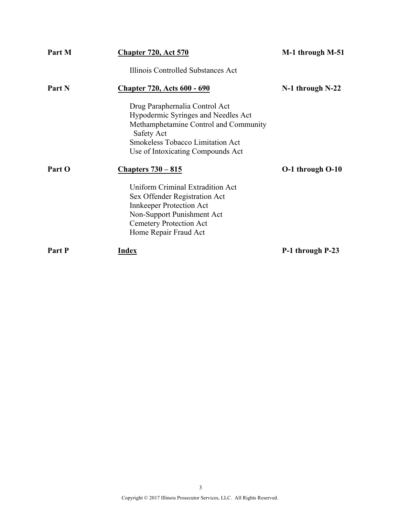| Part M | <b>Chapter 720, Act 570</b>                                                                                                                                                                                  | M-1 through M-51     |
|--------|--------------------------------------------------------------------------------------------------------------------------------------------------------------------------------------------------------------|----------------------|
|        | Illinois Controlled Substances Act                                                                                                                                                                           |                      |
| Part N | <b>Chapter 720, Acts 600 - 690</b>                                                                                                                                                                           | $N-1$ through $N-22$ |
|        | Drug Paraphernalia Control Act<br>Hypodermic Syringes and Needles Act<br>Methamphetamine Control and Community<br>Safety Act<br><b>Smokeless Tobacco Limitation Act</b><br>Use of Intoxicating Compounds Act |                      |
| Part O | <b>Chapters 730 – 815</b>                                                                                                                                                                                    | O-1 through O-10     |
|        | Uniform Criminal Extradition Act<br>Sex Offender Registration Act<br><b>Innkeeper Protection Act</b><br>Non-Support Punishment Act<br><b>Cemetery Protection Act</b><br>Home Repair Fraud Act                |                      |
| Part P | <b>Index</b>                                                                                                                                                                                                 | P-1 through P-23     |